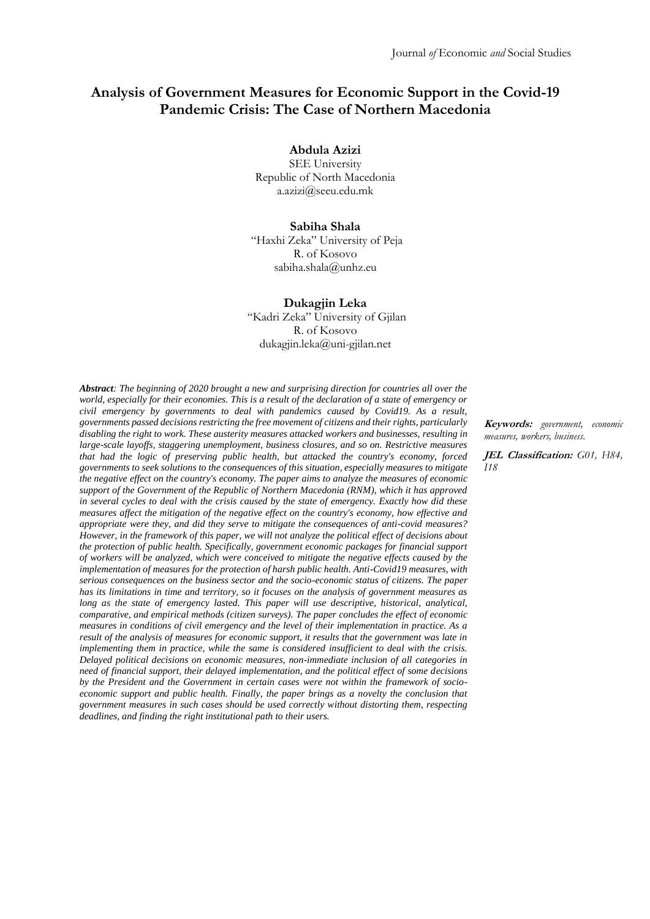# **Analysis of Government Measures for Economic Support in the Covid-19 Pandemic Crisis: The Case of Northern Macedonia**

**Abdula Azizi**

SEE University Republic of North Macedonia [a.azizi@seeu.edu.mk](mailto:a.azizi@seeu.edu.mk)

#### **Sabiha Shala**

"Haxhi Zeka" University of Peja R. of Kosovo [sabiha.shala@unhz.eu](mailto:sabiha.shala@unhz.eu)

### **Dukagjin Leka**

"Kadri Zeka" University of Gjilan R. of Kosovo [dukagjin.leka@uni-gjilan.net](mailto:dukagjin.leka@uni-gjilan.net)

*Abstract: The beginning of 2020 brought a new and surprising direction for countries all over the world, especially for their economies. This is a result of the declaration of a state of emergency or civil emergency by governments to deal with pandemics caused by Covid19. As a result, governments passed decisions restricting the free movement of citizens and their rights, particularly disabling the right to work. These austerity measures attacked workers and businesses, resulting in large-scale layoffs, staggering unemployment, business closures, and so on. Restrictive measures that had the logic of preserving public health, but attacked the country's economy, forced governments to seek solutions to the consequences of this situation, especially measures to mitigate the negative effect on the country's economy. The paper aims to analyze the measures of economic support of the Government of the Republic of Northern Macedonia (RNM), which it has approved in several cycles to deal with the crisis caused by the state of emergency. Exactly how did these measures affect the mitigation of the negative effect on the country's economy, how effective and appropriate were they, and did they serve to mitigate the consequences of anti-covid measures? However, in the framework of this paper, we will not analyze the political effect of decisions about the protection of public health. Specifically, government economic packages for financial support of workers will be analyzed, which were conceived to mitigate the negative effects caused by the implementation of measures for the protection of harsh public health. Anti-Covid19 measures, with serious consequences on the business sector and the socio-economic status of citizens. The paper has its limitations in time and territory, so it focuses on the analysis of government measures as long as the state of emergency lasted. This paper will use descriptive, historical, analytical, comparative, and empirical methods (citizen surveys). The paper concludes the effect of economic measures in conditions of civil emergency and the level of their implementation in practice. As a result of the analysis of measures for economic support, it results that the government was late in implementing them in practice, while the same is considered insufficient to deal with the crisis. Delayed political decisions on economic measures, non-immediate inclusion of all categories in need of financial support, their delayed implementation, and the political effect of some decisions by the President and the Government in certain cases were not within the framework of socioeconomic support and public health. Finally, the paper brings as a novelty the conclusion that government measures in such cases should be used correctly without distorting them, respecting deadlines, and finding the right institutional path to their users.*

**Keywords:** *government, economic measures, workers, business.*

**JEL Classification:** *G01, H84, I18*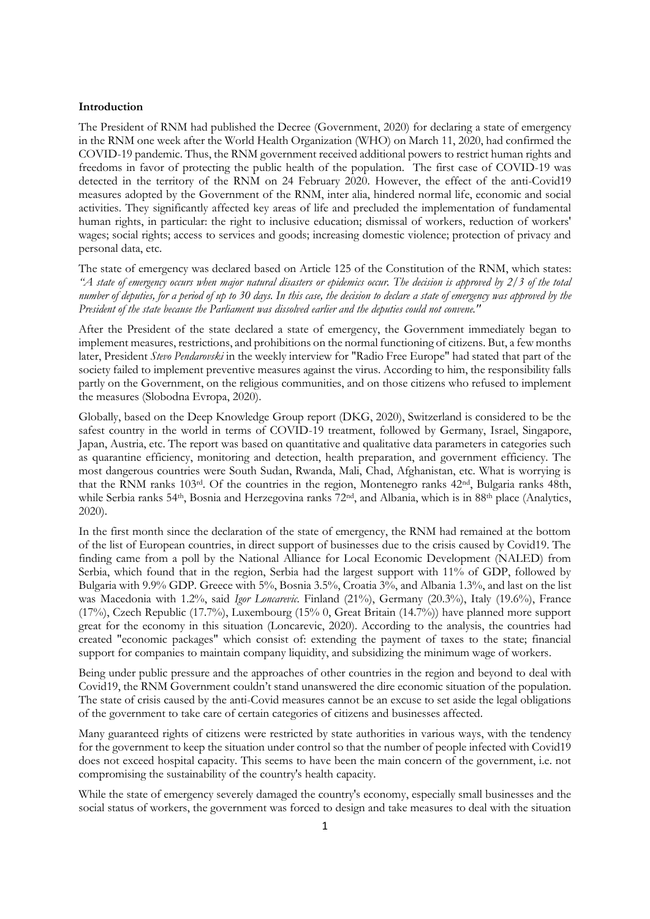#### **Introduction**

The President of RNM had published the Decree (Government, 2020) for declaring a state of emergency in the RNM one week after the World Health Organization (WHO) on March 11, 2020, had confirmed the COVID-19 pandemic. Thus, the RNM government received additional powers to restrict human rights and freedoms in favor of protecting the public health of the population. The first case of COVID-19 was detected in the territory of the RNM on 24 February 2020. However, the effect of the anti-Covid19 measures adopted by the Government of the RNM, inter alia, hindered normal life, economic and social activities. They significantly affected key areas of life and precluded the implementation of fundamental human rights, in particular: the right to inclusive education; dismissal of workers, reduction of workers' wages; social rights; access to services and goods; increasing domestic violence; protection of privacy and personal data, etc.

The state of emergency was declared based on Article 125 of the Constitution of the RNM, which states: *"A state of emergency occurs when major natural disasters or epidemics occur. The decision is approved by 2/3 of the total number of deputies, for a period of up to 30 days. In this case, the decision to declare a state of emergency was approved by the President of the state because the Parliament was dissolved earlier and the deputies could not convene."*

After the President of the state declared a state of emergency, the Government immediately began to implement measures, restrictions, and prohibitions on the normal functioning of citizens. But, a few months later, President *Stevo Pendarovski* in the weekly interview for "Radio Free Europe" had stated that part of the society failed to implement preventive measures against the virus. According to him, the responsibility falls partly on the Government, on the religious communities, and on those citizens who refused to implement the measures (Slobodna Evropa, 2020).

Globally, based on the Deep Knowledge Group report (DKG, 2020), Switzerland is considered to be the safest country in the world in terms of COVID-19 treatment, followed by Germany, Israel, Singapore, Japan, Austria, etc. The report was based on quantitative and qualitative data parameters in categories such as quarantine efficiency, monitoring and detection, health preparation, and government efficiency. The most dangerous countries were South Sudan, Rwanda, Mali, Chad, Afghanistan, etc. What is worrying is that the RNM ranks 103rd. Of the countries in the region, Montenegro ranks 42nd, Bulgaria ranks 48th, while Serbia ranks 54<sup>th</sup>, Bosnia and Herzegovina ranks 72<sup>nd</sup>, and Albania, which is in 88<sup>th</sup> place (Analytics, 2020).

In the first month since the declaration of the state of emergency, the RNM had remained at the bottom of the list of European countries, in direct support of businesses due to the crisis caused by Covid19. The finding came from a poll by the National Alliance for Local Economic Development (NALED) from Serbia, which found that in the region, Serbia had the largest support with 11% of GDP, followed by Bulgaria with 9.9% GDP. Greece with 5%, Bosnia 3.5%, Croatia 3%, and Albania 1.3%, and last on the list was Macedonia with 1.2%, said *Igor Loncarevic*. Finland (21%), Germany (20.3%), Italy (19.6%), France (17%), Czech Republic (17.7%), Luxembourg (15% 0, Great Britain (14.7%)) have planned more support great for the economy in this situation (Loncarevic, 2020). According to the analysis, the countries had created "economic packages" which consist of: extending the payment of taxes to the state; financial support for companies to maintain company liquidity, and subsidizing the minimum wage of workers.

Being under public pressure and the approaches of other countries in the region and beyond to deal with Covid19, the RNM Government couldn't stand unanswered the dire economic situation of the population. The state of crisis caused by the anti-Covid measures cannot be an excuse to set aside the legal obligations of the government to take care of certain categories of citizens and businesses affected.

Many guaranteed rights of citizens were restricted by state authorities in various ways, with the tendency for the government to keep the situation under control so that the number of people infected with Covid19 does not exceed hospital capacity. This seems to have been the main concern of the government, i.e. not compromising the sustainability of the country's health capacity.

While the state of emergency severely damaged the country's economy, especially small businesses and the social status of workers, the government was forced to design and take measures to deal with the situation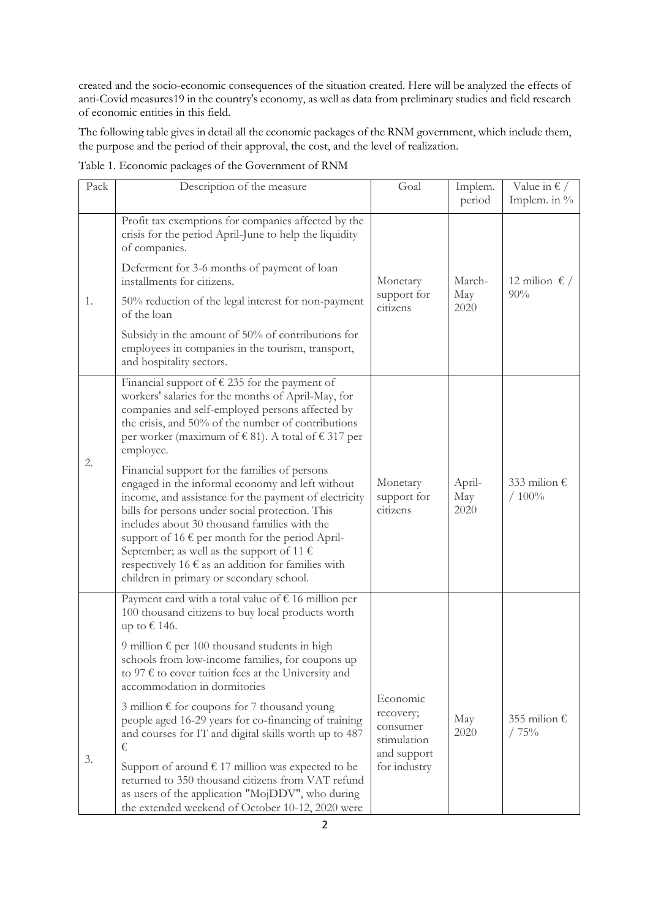created and the socio-economic consequences of the situation created. Here will be analyzed the effects of anti-Covid measures19 in the country's economy, as well as data from preliminary studies and field research of economic entities in this field.

The following table gives in detail all the economic packages of the RNM government, which include them, the purpose and the period of their approval, the cost, and the level of realization.

| Pack | Description of the measure                                                                                                                                                                                                                                                                                                                                                                                                                                                                                                                                                                                                                                                                                                                         | Goal                                                                            | Implem.<br>period     | Value in $\epsilon$ /<br>Implem. in % |
|------|----------------------------------------------------------------------------------------------------------------------------------------------------------------------------------------------------------------------------------------------------------------------------------------------------------------------------------------------------------------------------------------------------------------------------------------------------------------------------------------------------------------------------------------------------------------------------------------------------------------------------------------------------------------------------------------------------------------------------------------------------|---------------------------------------------------------------------------------|-----------------------|---------------------------------------|
| 1.   | Profit tax exemptions for companies affected by the<br>crisis for the period April-June to help the liquidity<br>of companies.<br>Deferment for 3-6 months of payment of loan<br>installments for citizens.<br>50% reduction of the legal interest for non-payment<br>of the loan<br>Subsidy in the amount of 50% of contributions for<br>employees in companies in the tourism, transport,<br>and hospitality sectors.                                                                                                                                                                                                                                                                                                                            | Monetary<br>support for<br>citizens                                             | March-<br>May<br>2020 | 12 milion $\epsilon$ /<br>90%         |
| 2.   | Financial support of $\epsilon$ 235 for the payment of<br>workers' salaries for the months of April-May, for<br>companies and self-employed persons affected by<br>the crisis, and 50% of the number of contributions<br>per worker (maximum of $\in$ 81). A total of $\in$ 317 per<br>employee.<br>Financial support for the families of persons<br>engaged in the informal economy and left without<br>income, and assistance for the payment of electricity<br>bills for persons under social protection. This<br>includes about 30 thousand families with the<br>support of 16 $\epsilon$ per month for the period April-<br>September; as well as the support of 11 $\epsilon$<br>respectively 16 $\epsilon$ as an addition for families with | Monetary<br>support for<br>citizens                                             | April-<br>May<br>2020 | 333 milion $\epsilon$<br>/100%        |
| 3.   | children in primary or secondary school.<br>Payment card with a total value of $\epsilon$ 16 million per<br>100 thousand citizens to buy local products worth<br>up to € 146.<br>9 million $\epsilon$ per 100 thousand students in high<br>schools from low-income families, for coupons up<br>to 97 $\epsilon$ to cover tuition fees at the University and<br>accommodation in dormitories<br>3 million € for coupons for 7 thousand young<br>people aged 16-29 years for co-financing of training<br>and courses for IT and digital skills worth up to 487<br>€<br>Support of around $\epsilon$ 17 million was expected to be<br>returned to 350 thousand citizens from VAT refund<br>as users of the application "MojDDV", who during           | Economic<br>recovery;<br>consumer<br>stimulation<br>and support<br>for industry | May<br>2020           | 355 milion $\epsilon$<br>/75%         |

Table 1. Economic packages of the Government of RNM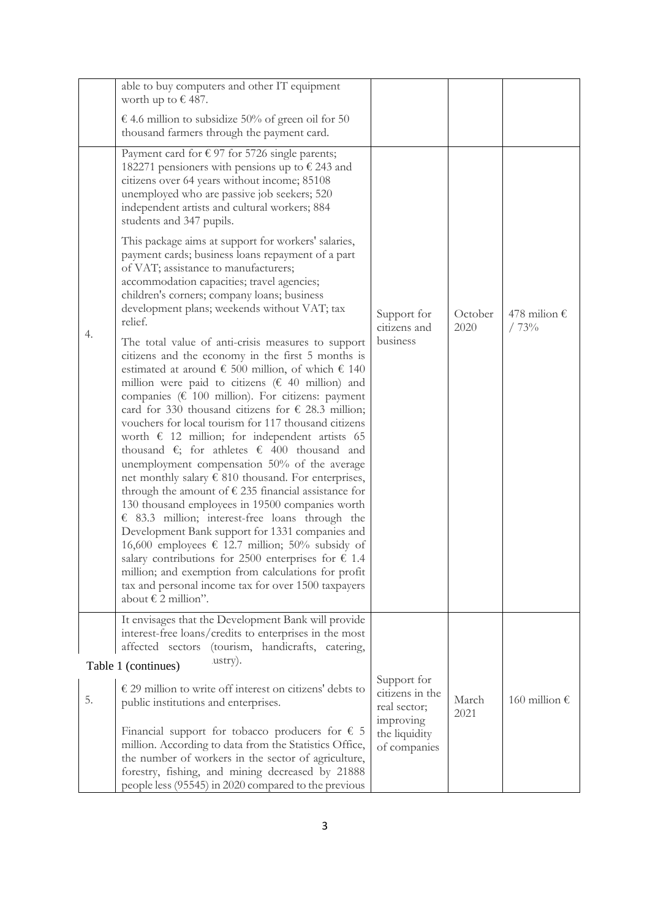|    | able to buy computers and other IT equipment<br>worth up to $\epsilon$ 487.<br>€ 4.6 million to subsidize 50% of green oil for 50                                                                                                                                                                                                                                                                                                                                                                                                                                                                                                                                                                                                                                                                                                                                                                                                                                                                                                                                                                                                                                                                                                                                                                                                                                                                                                                                                                                                                                                                                                                                                                                                                                                                                                      |                                                                                              |                 |                               |
|----|----------------------------------------------------------------------------------------------------------------------------------------------------------------------------------------------------------------------------------------------------------------------------------------------------------------------------------------------------------------------------------------------------------------------------------------------------------------------------------------------------------------------------------------------------------------------------------------------------------------------------------------------------------------------------------------------------------------------------------------------------------------------------------------------------------------------------------------------------------------------------------------------------------------------------------------------------------------------------------------------------------------------------------------------------------------------------------------------------------------------------------------------------------------------------------------------------------------------------------------------------------------------------------------------------------------------------------------------------------------------------------------------------------------------------------------------------------------------------------------------------------------------------------------------------------------------------------------------------------------------------------------------------------------------------------------------------------------------------------------------------------------------------------------------------------------------------------------|----------------------------------------------------------------------------------------------|-----------------|-------------------------------|
| 4. | thousand farmers through the payment card.<br>Payment card for $\epsilon$ 97 for 5726 single parents;<br>182271 pensioners with pensions up to $\epsilon$ 243 and<br>citizens over 64 years without income; 85108<br>unemployed who are passive job seekers; 520<br>independent artists and cultural workers; 884<br>students and 347 pupils.<br>This package aims at support for workers' salaries,<br>payment cards; business loans repayment of a part<br>of VAT; assistance to manufacturers;<br>accommodation capacities; travel agencies;<br>children's corners; company loans; business<br>development plans; weekends without VAT; tax<br>relief.<br>The total value of anti-crisis measures to support<br>citizens and the economy in the first 5 months is<br>estimated at around $\epsilon$ 500 million, of which $\epsilon$ 140<br>million were paid to citizens ( $\epsilon$ 40 million) and<br>companies ( $\epsilon$ 100 million). For citizens: payment<br>card for 330 thousand citizens for $\epsilon$ 28.3 million;<br>vouchers for local tourism for 117 thousand citizens<br>worth $\epsilon$ 12 million; for independent artists 65<br>thousand $\epsilon$ ; for athletes $\epsilon$ 400 thousand and<br>unemployment compensation 50% of the average<br>net monthly salary $\epsilon$ 810 thousand. For enterprises,<br>through the amount of $\epsilon$ 235 financial assistance for<br>130 thousand employees in 19500 companies worth<br>$\epsilon$ 83.3 million; interest-free loans through the<br>Development Bank support for 1331 companies and<br>16,600 employees € 12.7 million; 50% subsidy of<br>salary contributions for 2500 enterprises for $\epsilon$ 1.4<br>million; and exemption from calculations for profit<br>tax and personal income tax for over 1500 taxpayers<br>about € 2 million". | Support for<br>citizens and<br>business                                                      | October<br>2020 | 478 milion $\epsilon$<br>/73% |
|    | It envisages that the Development Bank will provide<br>interest-free loans/credits to enterprises in the most<br>(tourism, handicrafts, catering,<br>affected sectors                                                                                                                                                                                                                                                                                                                                                                                                                                                                                                                                                                                                                                                                                                                                                                                                                                                                                                                                                                                                                                                                                                                                                                                                                                                                                                                                                                                                                                                                                                                                                                                                                                                                  |                                                                                              |                 |                               |
| 5. | lustry).<br>Table 1 (continues)<br>$\epsilon$ 29 million to write off interest on citizens' debts to<br>public institutions and enterprises.<br>Financial support for tobacco producers for $\epsilon$ 5<br>million. According to data from the Statistics Office,<br>the number of workers in the sector of agriculture,<br>forestry, fishing, and mining decreased by 21888                                                                                                                                                                                                                                                                                                                                                                                                                                                                                                                                                                                                                                                                                                                                                                                                                                                                                                                                                                                                                                                                                                                                                                                                                                                                                                                                                                                                                                                          | Support for<br>citizens in the<br>real sector;<br>improving<br>the liquidity<br>of companies | March<br>2021   | 160 million €                 |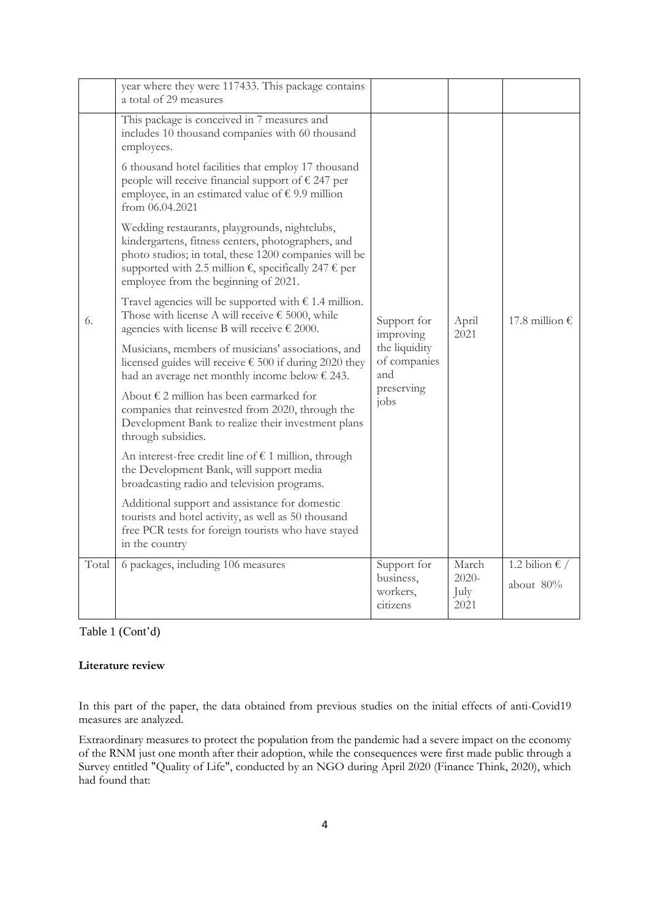|       | year where they were 117433. This package contains<br>a total of 29 measures                                                                                                                                                                                                    |                                                  |                                   |                             |  |
|-------|---------------------------------------------------------------------------------------------------------------------------------------------------------------------------------------------------------------------------------------------------------------------------------|--------------------------------------------------|-----------------------------------|-----------------------------|--|
|       | This package is conceived in 7 measures and<br>includes 10 thousand companies with 60 thousand<br>employees.                                                                                                                                                                    |                                                  |                                   |                             |  |
|       | 6 thousand hotel facilities that employ 17 thousand<br>people will receive financial support of $\epsilon$ 247 per<br>employee, in an estimated value of $\epsilon$ 9.9 million<br>from $06.04.2021$                                                                            |                                                  |                                   |                             |  |
|       | Wedding restaurants, playgrounds, nightclubs,<br>kindergartens, fitness centers, photographers, and<br>photo studios; in total, these 1200 companies will be<br>supported with 2.5 million $\epsilon$ , specifically 247 $\epsilon$ per<br>employee from the beginning of 2021. |                                                  |                                   |                             |  |
| 6.    | Travel agencies will be supported with $\epsilon$ 1.4 million.<br>Those with license A will receive $\epsilon$ 5000, while<br>agencies with license B will receive $\epsilon$ 2000.                                                                                             | Support for<br>improving                         | April<br>2021                     | 17.8 million €              |  |
|       | Musicians, members of musicians' associations, and<br>licensed guides will receive $\epsilon$ 500 if during 2020 they<br>had an average net monthly income below $\epsilon$ 243.                                                                                                | the liquidity<br>of companies<br>and             |                                   |                             |  |
|       | About $\epsilon$ 2 million has been earmarked for<br>companies that reinvested from 2020, through the<br>Development Bank to realize their investment plans<br>through subsidies.                                                                                               | preserving<br>i <sub>obs</sub>                   |                                   |                             |  |
|       | An interest-free credit line of $\epsilon$ 1 million, through<br>the Development Bank, will support media<br>broadcasting radio and television programs.                                                                                                                        |                                                  |                                   |                             |  |
|       | Additional support and assistance for domestic<br>tourists and hotel activity, as well as 50 thousand<br>free PCR tests for foreign tourists who have stayed<br>in the country                                                                                                  |                                                  |                                   |                             |  |
| Total | 6 packages, including 106 measures                                                                                                                                                                                                                                              | Support for<br>business,<br>workers,<br>citizens | March<br>$2020 -$<br>July<br>2021 | 1.2 bilion € /<br>about 80% |  |

# Table 1 (Cont'd)

## **Literature review**

In this part of the paper, the data obtained from previous studies on the initial effects of anti-Covid19 measures are analyzed.

Extraordinary measures to protect the population from the pandemic had a severe impact on the economy of the RNM just one month after their adoption, while the consequences were first made public through a Survey entitled "Quality of Life", conducted by an NGO during April 2020 (Finance Think, 2020), which had found that: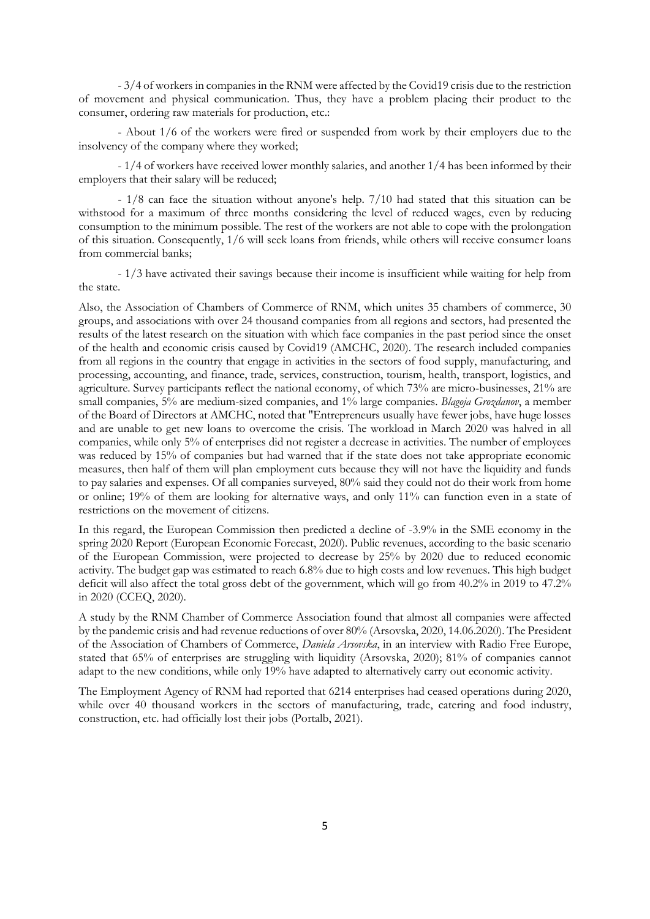- 3/4 of workers in companies in the RNM were affected by the Covid19 crisis due to the restriction of movement and physical communication. Thus, they have a problem placing their product to the consumer, ordering raw materials for production, etc.:

- About 1/6 of the workers were fired or suspended from work by their employers due to the insolvency of the company where they worked;

- 1/4 of workers have received lower monthly salaries, and another 1/4 has been informed by their employers that their salary will be reduced;

- 1/8 can face the situation without anyone's help. 7/10 had stated that this situation can be withstood for a maximum of three months considering the level of reduced wages, even by reducing consumption to the minimum possible. The rest of the workers are not able to cope with the prolongation of this situation. Consequently, 1/6 will seek loans from friends, while others will receive consumer loans from commercial banks;

- 1/3 have activated their savings because their income is insufficient while waiting for help from the state.

Also, the Association of Chambers of Commerce of RNM, which unites 35 chambers of commerce, 30 groups, and associations with over 24 thousand companies from all regions and sectors, had presented the results of the latest research on the situation with which face companies in the past period since the onset of the health and economic crisis caused by Covid19 (AMCHC, 2020). The research included companies from all regions in the country that engage in activities in the sectors of food supply, manufacturing, and processing, accounting, and finance, trade, services, construction, tourism, health, transport, logistics, and agriculture. Survey participants reflect the national economy, of which 73% are micro-businesses, 21% are small companies, 5% are medium-sized companies, and 1% large companies. *Blagoja Grozdanov*, a member of the Board of Directors at AMCHC, noted that "Entrepreneurs usually have fewer jobs, have huge losses and are unable to get new loans to overcome the crisis. The workload in March 2020 was halved in all companies, while only 5% of enterprises did not register a decrease in activities. The number of employees was reduced by 15% of companies but had warned that if the state does not take appropriate economic measures, then half of them will plan employment cuts because they will not have the liquidity and funds to pay salaries and expenses. Of all companies surveyed, 80% said they could not do their work from home or online; 19% of them are looking for alternative ways, and only 11% can function even in a state of restrictions on the movement of citizens.

In this regard, the European Commission then predicted a decline of -3.9% in the SME economy in the spring 2020 Report (European Economic Forecast, 2020). Public revenues, according to the basic scenario of the European Commission, were projected to decrease by 25% by 2020 due to reduced economic activity. The budget gap was estimated to reach 6.8% due to high costs and low revenues. This high budget deficit will also affect the total gross debt of the government, which will go from 40.2% in 2019 to 47.2% in 2020 (CCEQ, 2020).

A study by the RNM Chamber of Commerce Association found that almost all companies were affected by the pandemic crisis and had revenue reductions of over 80% (Arsovska, 2020, 14.06.2020). The President of the Association of Chambers of Commerce, *Daniela Arsovska*, in an interview with Radio Free Europe, stated that 65% of enterprises are struggling with liquidity (Arsovska, 2020); 81% of companies cannot adapt to the new conditions, while only 19% have adapted to alternatively carry out economic activity.

The Employment Agency of RNM had reported that 6214 enterprises had ceased operations during 2020, while over 40 thousand workers in the sectors of manufacturing, trade, catering and food industry, construction, etc. had officially lost their jobs (Portalb, 2021).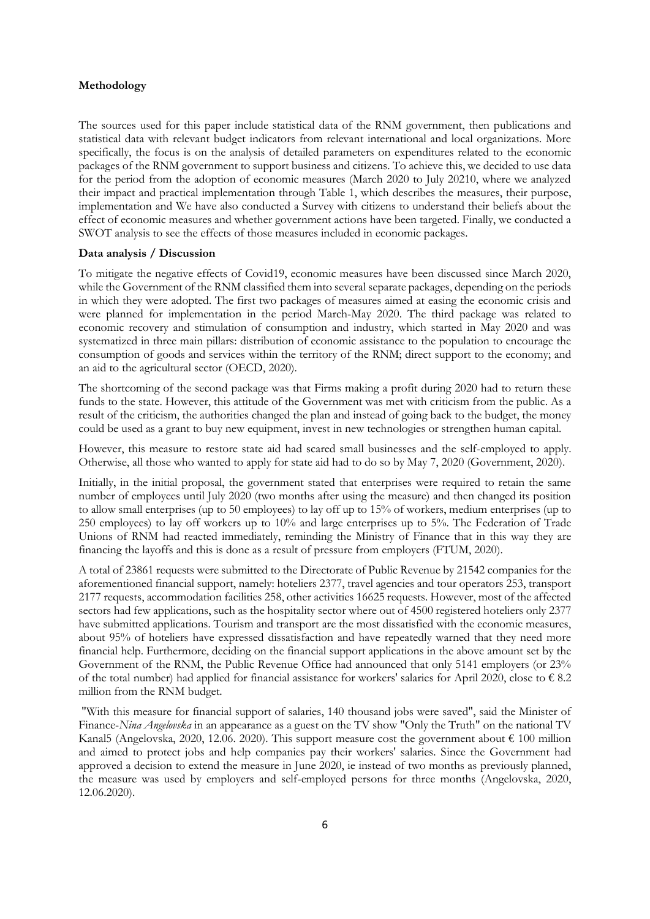### **Methodology**

The sources used for this paper include statistical data of the RNM government, then publications and statistical data with relevant budget indicators from relevant international and local organizations. More specifically, the focus is on the analysis of detailed parameters on expenditures related to the economic packages of the RNM government to support business and citizens. To achieve this, we decided to use data for the period from the adoption of economic measures (March 2020 to July 20210, where we analyzed their impact and practical implementation through Table 1, which describes the measures, their purpose, implementation and We have also conducted a Survey with citizens to understand their beliefs about the effect of economic measures and whether government actions have been targeted. Finally, we conducted a SWOT analysis to see the effects of those measures included in economic packages.

#### **Data analysis / Discussion**

To mitigate the negative effects of Covid19, economic measures have been discussed since March 2020, while the Government of the RNM classified them into several separate packages, depending on the periods in which they were adopted. The first two packages of measures aimed at easing the economic crisis and were planned for implementation in the period March-May 2020. The third package was related to economic recovery and stimulation of consumption and industry, which started in May 2020 and was systematized in three main pillars: distribution of economic assistance to the population to encourage the consumption of goods and services within the territory of the RNM; direct support to the economy; and an aid to the agricultural sector (OECD, 2020).

The shortcoming of the second package was that Firms making a profit during 2020 had to return these funds to the state. However, this attitude of the Government was met with criticism from the public. As a result of the criticism, the authorities changed the plan and instead of going back to the budget, the money could be used as a grant to buy new equipment, invest in new technologies or strengthen human capital.

However, this measure to restore state aid had scared small businesses and the self-employed to apply. Otherwise, all those who wanted to apply for state aid had to do so by May 7, 2020 (Government, 2020).

Initially, in the initial proposal, the government stated that enterprises were required to retain the same number of employees until July 2020 (two months after using the measure) and then changed its position to allow small enterprises (up to 50 employees) to lay off up to 15% of workers, medium enterprises (up to 250 employees) to lay off workers up to 10% and large enterprises up to 5%. The Federation of Trade Unions of RNM had reacted immediately, reminding the Ministry of Finance that in this way they are financing the layoffs and this is done as a result of pressure from employers (FTUM, 2020).

A total of 23861 requests were submitted to the Directorate of Public Revenue by 21542 companies for the aforementioned financial support, namely: hoteliers 2377, travel agencies and tour operators 253, transport 2177 requests, accommodation facilities 258, other activities 16625 requests. However, most of the affected sectors had few applications, such as the hospitality sector where out of 4500 registered hoteliers only 2377 have submitted applications. Tourism and transport are the most dissatisfied with the economic measures, about 95% of hoteliers have expressed dissatisfaction and have repeatedly warned that they need more financial help. Furthermore, deciding on the financial support applications in the above amount set by the Government of the RNM, the Public Revenue Office had announced that only 5141 employers (or 23% of the total number) had applied for financial assistance for workers' salaries for April 2020, close to  $\epsilon$  8.2 million from the RNM budget.

"With this measure for financial support of salaries, 140 thousand jobs were saved", said the Minister of Finance-*Nina Angelovska* in an appearance as a guest on the TV show "Only the Truth" on the national TV Kanal5 (Angelovska, 2020, 12.06. 2020). This support measure cost the government about  $\epsilon$  100 million and aimed to protect jobs and help companies pay their workers' salaries. Since the Government had approved a decision to extend the measure in June 2020, ie instead of two months as previously planned, the measure was used by employers and self-employed persons for three months (Angelovska, 2020, 12.06.2020).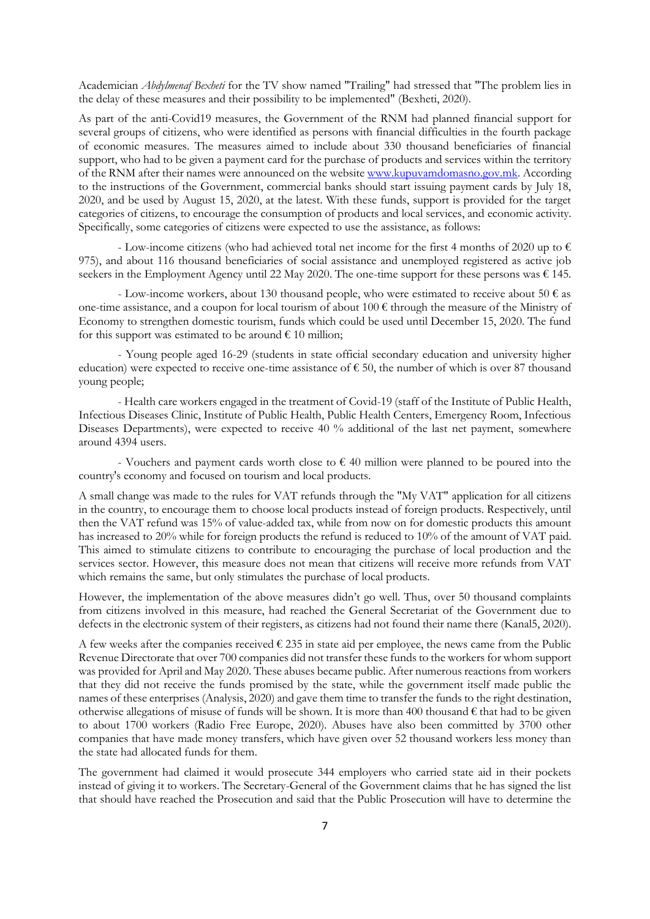Academician *Abdylmenaf Bexheti* for the TV show named "Trailing" had stressed that "The problem lies in the delay of these measures and their possibility to be implemented" (Bexheti, 2020).

As part of the anti-Covid19 measures, the Government of the RNM had planned financial support for several groups of citizens, who were identified as persons with financial difficulties in the fourth package of economic measures. The measures aimed to include about 330 thousand beneficiaries of financial support, who had to be given a payment card for the purchase of products and services within the territory of the RNM after their names were announced on the websit[e www.kupuvamdomasno.gov.mk.](http://www.kupuvamdomasno.gov.mk/) According to the instructions of the Government, commercial banks should start issuing payment cards by July 18, 2020, and be used by August 15, 2020, at the latest. With these funds, support is provided for the target categories of citizens, to encourage the consumption of products and local services, and economic activity. Specifically, some categories of citizens were expected to use the assistance, as follows:

- Low-income citizens (who had achieved total net income for the first 4 months of 2020 up to  $\epsilon$ 975), and about 116 thousand beneficiaries of social assistance and unemployed registered as active job seekers in the Employment Agency until 22 May 2020. The one-time support for these persons was  $\epsilon$  145.

- Low-income workers, about 130 thousand people, who were estimated to receive about 50  $\epsilon$  as one-time assistance, and a coupon for local tourism of about  $100 \in$  through the measure of the Ministry of Economy to strengthen domestic tourism, funds which could be used until December 15, 2020. The fund for this support was estimated to be around  $\epsilon$  10 million;

- Young people aged 16-29 (students in state official secondary education and university higher education) were expected to receive one-time assistance of  $\epsilon$  50, the number of which is over 87 thousand young people;

- Health care workers engaged in the treatment of Covid-19 (staff of the Institute of Public Health, Infectious Diseases Clinic, Institute of Public Health, Public Health Centers, Emergency Room, Infectious Diseases Departments), were expected to receive 40 % additional of the last net payment, somewhere around 4394 users.

- Vouchers and payment cards worth close to  $\epsilon$  40 million were planned to be poured into the country's economy and focused on tourism and local products.

A small change was made to the rules for VAT refunds through the "My VAT" application for all citizens in the country, to encourage them to choose local products instead of foreign products. Respectively, until then the VAT refund was 15% of value-added tax, while from now on for domestic products this amount has increased to 20% while for foreign products the refund is reduced to 10% of the amount of VAT paid. This aimed to stimulate citizens to contribute to encouraging the purchase of local production and the services sector. However, this measure does not mean that citizens will receive more refunds from VAT which remains the same, but only stimulates the purchase of local products.

However, the implementation of the above measures didn't go well. Thus, over 50 thousand complaints from citizens involved in this measure, had reached the General Secretariat of the Government due to defects in the electronic system of their registers, as citizens had not found their name there (Kanal5, 2020).

A few weeks after the companies received  $\epsilon$  235 in state aid per employee, the news came from the Public Revenue Directorate that over 700 companies did not transfer these funds to the workers for whom support was provided for April and May 2020. These abuses became public. After numerous reactions from workers that they did not receive the funds promised by the state, while the government itself made public the names of these enterprises (Analysis, 2020) and gave them time to transfer the funds to the right destination, otherwise allegations of misuse of funds will be shown. It is more than 400 thousand  $\epsilon$  that had to be given to about 1700 workers (Radio Free Europe, 2020). Abuses have also been committed by 3700 other companies that have made money transfers, which have given over 52 thousand workers less money than the state had allocated funds for them.

The government had claimed it would prosecute 344 employers who carried state aid in their pockets instead of giving it to workers. The Secretary-General of the Government claims that he has signed the list that should have reached the Prosecution and said that the Public Prosecution will have to determine the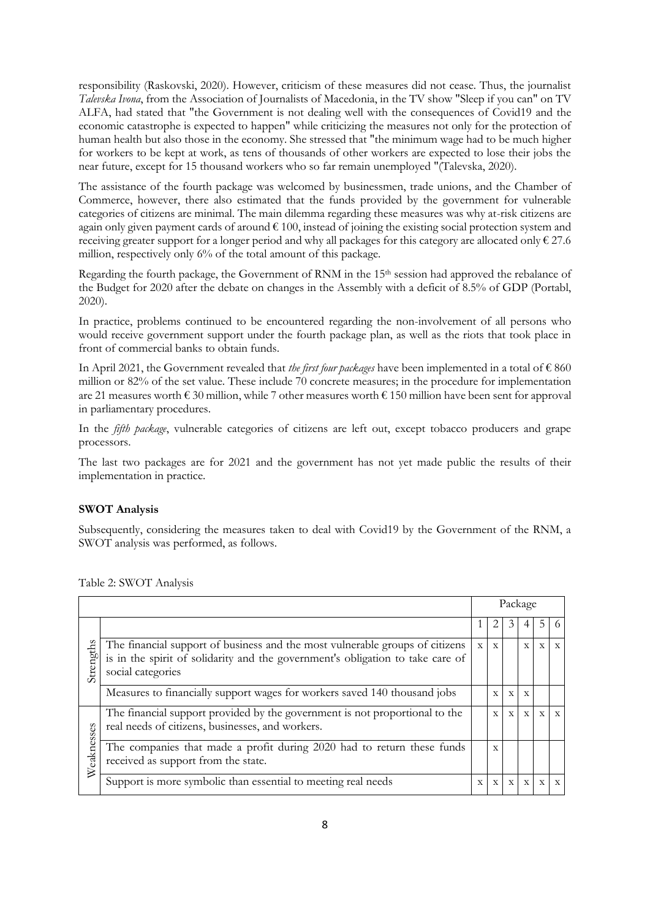responsibility (Raskovski, 2020). However, criticism of these measures did not cease. Thus, the journalist *Talevska Ivona*, from the Association of Journalists of Macedonia, in the TV show "Sleep if you can" on TV ALFA, had stated that "the Government is not dealing well with the consequences of Covid19 and the economic catastrophe is expected to happen" while criticizing the measures not only for the protection of human health but also those in the economy. She stressed that "the minimum wage had to be much higher for workers to be kept at work, as tens of thousands of other workers are expected to lose their jobs the near future, except for 15 thousand workers who so far remain unemployed "(Talevska, 2020).

The assistance of the fourth package was welcomed by businessmen, trade unions, and the Chamber of Commerce, however, there also estimated that the funds provided by the government for vulnerable categories of citizens are minimal. The main dilemma regarding these measures was why at-risk citizens are again only given payment cards of around  $\epsilon$  100, instead of joining the existing social protection system and receiving greater support for a longer period and why all packages for this category are allocated only  $\epsilon$  27.6 million, respectively only 6% of the total amount of this package.

Regarding the fourth package, the Government of RNM in the 15<sup>th</sup> session had approved the rebalance of the Budget for 2020 after the debate on changes in the Assembly with a deficit of 8.5% of GDP (Portabl, 2020).

In practice, problems continued to be encountered regarding the non-involvement of all persons who would receive government support under the fourth package plan, as well as the riots that took place in front of commercial banks to obtain funds.

In April 2021, the Government revealed that *the first four packages* have been implemented in a total of € 860 million or 82% of the set value. These include 70 concrete measures; in the procedure for implementation are 21 measures worth  $\epsilon$  30 million, while 7 other measures worth  $\epsilon$  150 million have been sent for approval in parliamentary procedures.

In the *fifth package*, vulnerable categories of citizens are left out, except tobacco producers and grape processors.

The last two packages are for 2021 and the government has not yet made public the results of their implementation in practice.

### **SWOT Analysis**

Subsequently, considering the measures taken to deal with Covid19 by the Government of the RNM, a SWOT analysis was performed, as follows.

|            |                                                                                                                                                                                     |              |              |              | Package      |              |              |
|------------|-------------------------------------------------------------------------------------------------------------------------------------------------------------------------------------|--------------|--------------|--------------|--------------|--------------|--------------|
|            |                                                                                                                                                                                     |              | 2            | 3            |              | .5           | 6            |
| Strengths  | The financial support of business and the most vulnerable groups of citizens<br>is in the spirit of solidarity and the government's obligation to take care of<br>social categories | $\mathbf{X}$ | $\mathbf X$  |              | $\mathbf{X}$ | $\mathbf X$  | $\mathbf{X}$ |
|            | Measures to financially support wages for workers saved 140 thousand jobs                                                                                                           |              | $\mathbf{x}$ | $\mathbf{x}$ | $\mathbf{x}$ |              |              |
|            | The financial support provided by the government is not proportional to the<br>real needs of citizens, businesses, and workers.                                                     |              | $\mathbf{x}$ | $\mathbf{x}$ | $\mathbf{X}$ | $\mathbf{x}$ | $\mathbf{X}$ |
| Weaknesses | The companies that made a profit during 2020 had to return these funds<br>received as support from the state.                                                                       |              | X            |              |              |              |              |
|            | Support is more symbolic than essential to meeting real needs                                                                                                                       | X            | X            | X            | $\mathbf{X}$ | $\mathbf{x}$ | $\mathbf{x}$ |

Table 2: SWOT Analysis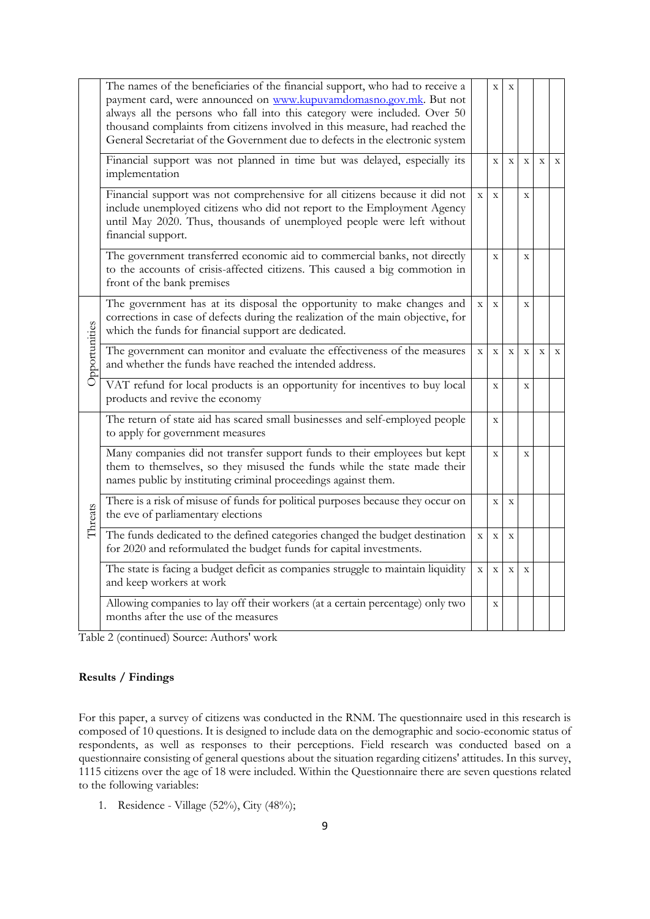|               | The names of the beneficiaries of the financial support, who had to receive a<br>payment card, were announced on www.kupuvamdomasno.gov.mk. But not<br>always all the persons who fall into this category were included. Over 50<br>thousand complaints from citizens involved in this measure, had reached the<br>General Secretariat of the Government due to defects in the electronic system |             | $\mathbf X$    | X            |              |             |              |
|---------------|--------------------------------------------------------------------------------------------------------------------------------------------------------------------------------------------------------------------------------------------------------------------------------------------------------------------------------------------------------------------------------------------------|-------------|----------------|--------------|--------------|-------------|--------------|
|               | Financial support was not planned in time but was delayed, especially its<br>implementation                                                                                                                                                                                                                                                                                                      |             | $\overline{X}$ | $\mathbf X$  | $\mathbf{X}$ | $\mathbf X$ | $\mathbf X$  |
|               | Financial support was not comprehensive for all citizens because it did not<br>include unemployed citizens who did not report to the Employment Agency<br>until May 2020. Thus, thousands of unemployed people were left without<br>financial support.                                                                                                                                           | $\mathbf X$ | $\mathbf X$    |              | $\mathbf X$  |             |              |
|               | The government transferred economic aid to commercial banks, not directly<br>to the accounts of crisis-affected citizens. This caused a big commotion in<br>front of the bank premises                                                                                                                                                                                                           |             | $\mathbf X$    |              | $\mathbf X$  |             |              |
| Opportunities | The government has at its disposal the opportunity to make changes and<br>corrections in case of defects during the realization of the main objective, for<br>which the funds for financial support are dedicated.                                                                                                                                                                               | X           | $\bar{X}$      |              | $\mathbf{x}$ |             |              |
|               | The government can monitor and evaluate the effectiveness of the measures<br>and whether the funds have reached the intended address.                                                                                                                                                                                                                                                            | $\mathbf X$ | $\mathbf X$    | $\mathbf{x}$ | $\mathbf{X}$ | $\mathbf X$ | $\mathbf{x}$ |
|               | VAT refund for local products is an opportunity for incentives to buy local<br>products and revive the economy                                                                                                                                                                                                                                                                                   |             | $\mathbf X$    |              | $\mathbf X$  |             |              |
|               | The return of state aid has scared small businesses and self-employed people<br>to apply for government measures                                                                                                                                                                                                                                                                                 |             | $\mathbf X$    |              |              |             |              |
| Threats       | Many companies did not transfer support funds to their employees but kept<br>them to themselves, so they misused the funds while the state made their<br>names public by instituting criminal proceedings against them.                                                                                                                                                                          |             | $\mathbf X$    |              | $\mathbf X$  |             |              |
|               | There is a risk of misuse of funds for political purposes because they occur on<br>the eve of parliamentary elections                                                                                                                                                                                                                                                                            |             | $\bar{X}$      | $\mathbf{x}$ |              |             |              |
|               | The funds dedicated to the defined categories changed the budget destination<br>for 2020 and reformulated the budget funds for capital investments.                                                                                                                                                                                                                                              | $\mathbf X$ | $\mathbf X$    | $\mathbf X$  |              |             |              |
|               | The state is facing a budget deficit as companies struggle to maintain liquidity<br>and keep workers at work                                                                                                                                                                                                                                                                                     | $\mathbf X$ | $\mathbf X$    | $\mathbf X$  | $\mathbf X$  |             |              |
|               | Allowing companies to lay off their workers (at a certain percentage) only two<br>months after the use of the measures                                                                                                                                                                                                                                                                           |             | X              |              |              |             |              |

Table 2 (continued) Source: Authors' work

# **Results / Findings**

For this paper, a survey of citizens was conducted in the RNM. The questionnaire used in this research is composed of 10 questions. It is designed to include data on the demographic and socio-economic status of respondents, as well as responses to their perceptions. Field research was conducted based on a questionnaire consisting of general questions about the situation regarding citizens' attitudes. In this survey, 1115 citizens over the age of 18 were included. Within the Questionnaire there are seven questions related to the following variables:

1. Residence - Village (52%), City (48%);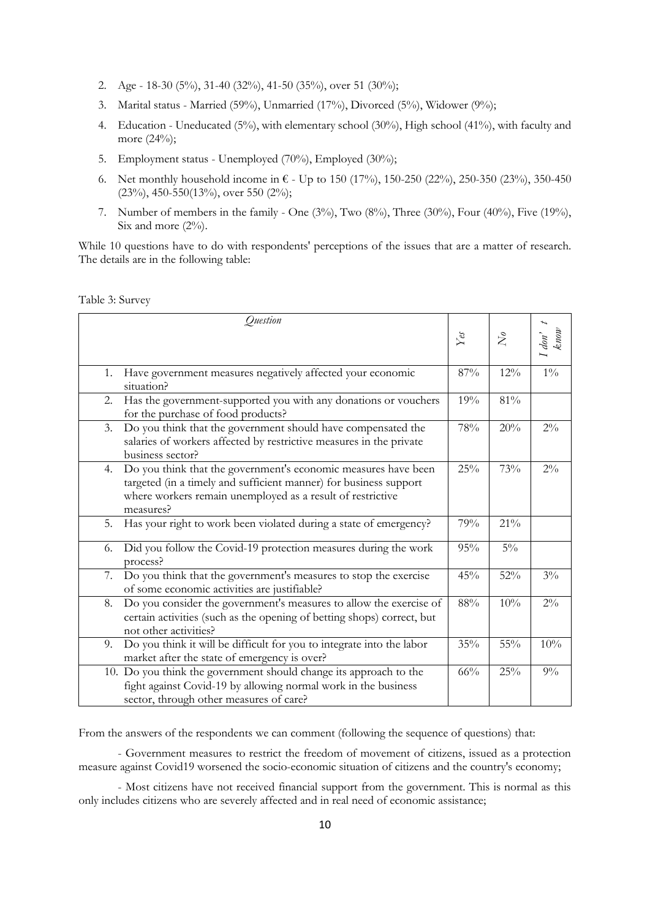- 2. Age 18-30 (5%), 31-40 (32%), 41-50 (35%), over 51 (30%);
- 3. Marital status Married (59%), Unmarried (17%), Divorced (5%), Widower (9%);
- 4. Education Uneducated (5%), with elementary school (30%), High school (41%), with faculty and more (24%);
- 5. Employment status Unemployed (70%), Employed (30%);
- 6. Net monthly household income in  $\epsilon$  Up to 150 (17%), 150-250 (22%), 250-350 (23%), 350-450 (23%), 450-550(13%), over 550 (2%);
- 7. Number of members in the family One  $(3\%)$ , Two  $(8\%)$ , Three  $(30\%)$ , Four  $(40\%)$ , Five  $(19\%)$ , Six and more  $(2\%)$ .

While 10 questions have to do with respondents' perceptions of the issues that are a matter of research. The details are in the following table:

Table 3: Survey

| Question                                                                                                                                                                       |                                                                                                                                              |                   |           |                                                                       |
|--------------------------------------------------------------------------------------------------------------------------------------------------------------------------------|----------------------------------------------------------------------------------------------------------------------------------------------|-------------------|-----------|-----------------------------------------------------------------------|
|                                                                                                                                                                                |                                                                                                                                              | $Y_{\mathcal{C}}$ | $\bar{N}$ | $\begin{array}{c} l\; don'\\ \hbox{\scriptsize\it knon'} \end{array}$ |
| Have government measures negatively affected your economic<br>1.<br>situation?                                                                                                 |                                                                                                                                              | 87%               | 12%       | $1\%$                                                                 |
| 2.<br>for the purchase of food products?                                                                                                                                       | Has the government-supported you with any donations or vouchers                                                                              | 19%               | 81%       |                                                                       |
| 3.<br>business sector?                                                                                                                                                         | Do you think that the government should have compensated the<br>salaries of workers affected by restrictive measures in the private          | 78%               | 20%       | $2\%$                                                                 |
| 4.<br>targeted (in a timely and sufficient manner) for business support<br>where workers remain unemployed as a result of restrictive<br>measures?                             | Do you think that the government's economic measures have been                                                                               | 25%               | 73%       | $2\%$                                                                 |
| 5.                                                                                                                                                                             | Has your right to work been violated during a state of emergency?                                                                            | 79%               | 21%       |                                                                       |
| 6.<br>process?                                                                                                                                                                 | Did you follow the Covid-19 protection measures during the work                                                                              | 95%               | $5\%$     |                                                                       |
| 7.<br>of some economic activities are justifiable?                                                                                                                             | Do you think that the government's measures to stop the exercise                                                                             | 45%               | 52%       | $3\%$                                                                 |
| 8.<br>not other activities?                                                                                                                                                    | Do you consider the government's measures to allow the exercise of<br>certain activities (such as the opening of betting shops) correct, but | 88%               | 10%       | $2\%$                                                                 |
| 9.<br>market after the state of emergency is over?                                                                                                                             | Do you think it will be difficult for you to integrate into the labor                                                                        | 35%               | 55%       | 10%                                                                   |
| 10. Do you think the government should change its approach to the<br>fight against Covid-19 by allowing normal work in the business<br>sector, through other measures of care? |                                                                                                                                              | 66%               | 25%       | 9%                                                                    |

From the answers of the respondents we can comment (following the sequence of questions) that:

- Government measures to restrict the freedom of movement of citizens, issued as a protection measure against Covid19 worsened the socio-economic situation of citizens and the country's economy;

- Most citizens have not received financial support from the government. This is normal as this only includes citizens who are severely affected and in real need of economic assistance;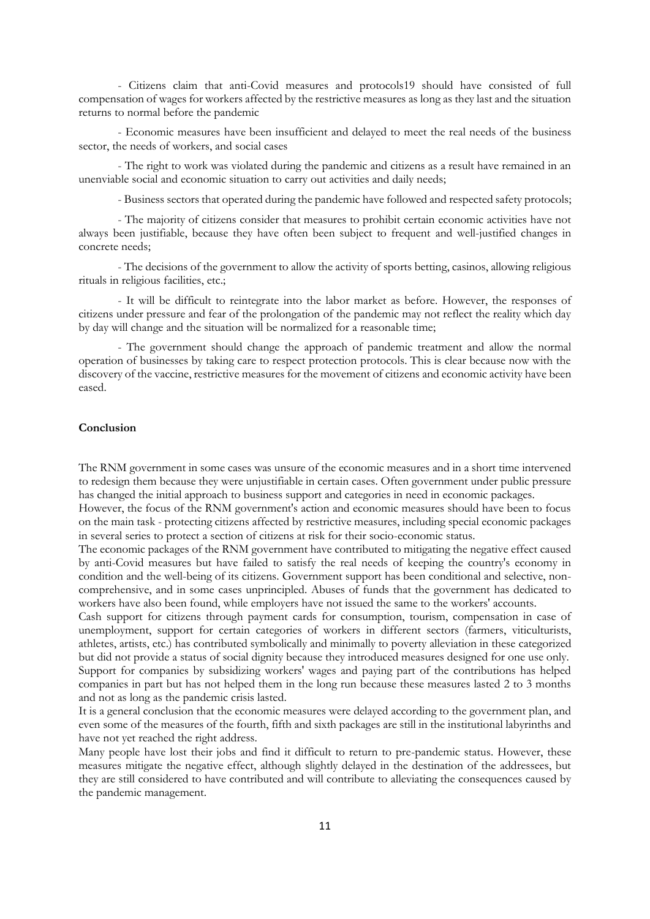- Citizens claim that anti-Covid measures and protocols19 should have consisted of full compensation of wages for workers affected by the restrictive measures as long as they last and the situation returns to normal before the pandemic

- Economic measures have been insufficient and delayed to meet the real needs of the business sector, the needs of workers, and social cases

- The right to work was violated during the pandemic and citizens as a result have remained in an unenviable social and economic situation to carry out activities and daily needs;

- Business sectors that operated during the pandemic have followed and respected safety protocols;

- The majority of citizens consider that measures to prohibit certain economic activities have not always been justifiable, because they have often been subject to frequent and well-justified changes in concrete needs;

- The decisions of the government to allow the activity of sports betting, casinos, allowing religious rituals in religious facilities, etc.;

- It will be difficult to reintegrate into the labor market as before. However, the responses of citizens under pressure and fear of the prolongation of the pandemic may not reflect the reality which day by day will change and the situation will be normalized for a reasonable time;

- The government should change the approach of pandemic treatment and allow the normal operation of businesses by taking care to respect protection protocols. This is clear because now with the discovery of the vaccine, restrictive measures for the movement of citizens and economic activity have been eased.

### **Conclusion**

The RNM government in some cases was unsure of the economic measures and in a short time intervened to redesign them because they were unjustifiable in certain cases. Often government under public pressure has changed the initial approach to business support and categories in need in economic packages.

However, the focus of the RNM government's action and economic measures should have been to focus on the main task - protecting citizens affected by restrictive measures, including special economic packages in several series to protect a section of citizens at risk for their socio-economic status.

The economic packages of the RNM government have contributed to mitigating the negative effect caused by anti-Covid measures but have failed to satisfy the real needs of keeping the country's economy in condition and the well-being of its citizens. Government support has been conditional and selective, noncomprehensive, and in some cases unprincipled. Abuses of funds that the government has dedicated to workers have also been found, while employers have not issued the same to the workers' accounts.

Cash support for citizens through payment cards for consumption, tourism, compensation in case of unemployment, support for certain categories of workers in different sectors (farmers, viticulturists, athletes, artists, etc.) has contributed symbolically and minimally to poverty alleviation in these categorized but did not provide a status of social dignity because they introduced measures designed for one use only. Support for companies by subsidizing workers' wages and paying part of the contributions has helped

companies in part but has not helped them in the long run because these measures lasted 2 to 3 months and not as long as the pandemic crisis lasted.

It is a general conclusion that the economic measures were delayed according to the government plan, and even some of the measures of the fourth, fifth and sixth packages are still in the institutional labyrinths and have not yet reached the right address.

Many people have lost their jobs and find it difficult to return to pre-pandemic status. However, these measures mitigate the negative effect, although slightly delayed in the destination of the addressees, but they are still considered to have contributed and will contribute to alleviating the consequences caused by the pandemic management.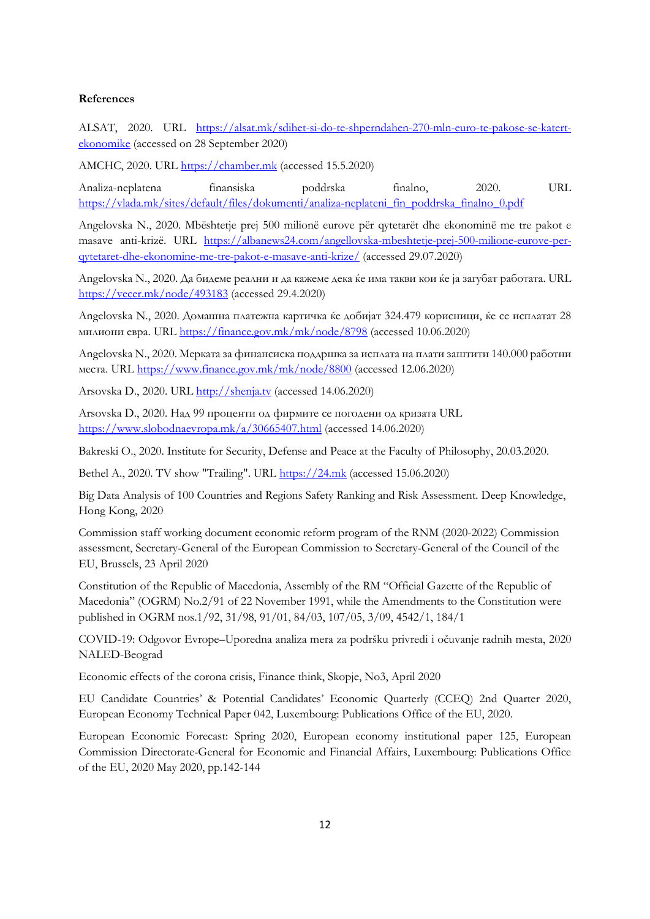#### **References**

ALSAT, 2020. URL [https://alsat.mk/sdihet-si-do-te-shperndahen-270-mln-euro-te-pakose-se-katert](https://alsat.mk/sdihet-si-do-te-shperndahen-270-mln-euro-te-pakose-se-katert-ekonomike)[ekonomike](https://alsat.mk/sdihet-si-do-te-shperndahen-270-mln-euro-te-pakose-se-katert-ekonomike) (accessed on 28 September 2020)

AMCHC, 2020. URL [https://chamber.mk](https://chamber.mk/) (accessed 15.5.2020)

Analiza-neplatena finansiska poddrska finalno, 2020. URL [https://vlada.mk/sites/default/files/dokumenti/analiza-neplateni\\_fin\\_poddrska\\_finalno\\_0.pdf](https://vlada.mk/sites/default/files/dokumenti/analiza-neplateni_fin_poddrska_finalno_0.pdf)

Angelovska N., 2020. Mbështetje prej 500 milionë eurove për qytetarët dhe ekonominë me tre pakot e masave anti-krizë. URL [https://albanews24.com/angellovska-mbeshtetje-prej-500-milione-eurove-per](https://albanews24.com/angellovska-mbeshtetje-prej-500-milione-eurove-per-qytetaret-dhe-ekonomine-me-tre-pakot-e-masave-anti-krize/)[qytetaret-dhe-ekonomine-me-tre-pakot-e-masave-anti-krize/](https://albanews24.com/angellovska-mbeshtetje-prej-500-milione-eurove-per-qytetaret-dhe-ekonomine-me-tre-pakot-e-masave-anti-krize/) (accessed 29.07.2020)

Angelovska N., 2020. Да бидеме реални и да кажеме дека ќе има такви кои ќе ја загубат работата. URL <https://vecer.mk/node/493183> (accessed 29.4.2020)

Angelovska N., 2020. Домашна платежна картичка ќе добијат 324.479 корисници, ќе се исплатат 28 милиони евра. URL <https://finance.gov.mk/mk/node/8798> (accessed 10.06.2020)

Angelovska N., 2020. Мерката за финансиска поддршка за исплата на плати заштити 140.000 работни места. URL <https://www.finance.gov.mk/mk/node/8800> (accessed 12.06.2020)

Arsovska D., 2020. URL [http://shenja.tv](http://shenja.tv/) (accessed 14.06.2020)

Arsovska D., 2020. Над 99 проценти од фирмите се погодени од кризата URL <https://www.slobodnaevropa.mk/a/30665407.html> (accessed 14.06.2020)

Bakreski O., 2020. Institute for Security, Defense and Peace at the Faculty of Philosophy, 20.03.2020.

Bethel A., 2020. TV show "Trailing". URL [https://24.mk](https://24.mk/) (accessed 15.06.2020)

Big Data Analysis of 100 Countries and Regions Safety Ranking and Risk Assessment. Deep Knowledge, Hong Kong, 2020

Commission staff working document economic reform program of the RNM (2020-2022) Commission assessment, Secretary-General of the European Commission to Secretary-General of the Council of the EU, Brussels, 23 April 2020

Constitution of the Republic of Macedonia, Assembly of the RM "Official Gazette of the Republic of Macedonia" (OGRM) No.2/91 of 22 November 1991, while the Amendments to the Constitution were published in OGRM nos.1/92, 31/98, 91/01, 84/03, 107/05, 3/09, 4542/1, 184/1

COVID-19: Odgovor Evrope–Uporedna analiza mera za podršku privredi i očuvanje radnih mesta, 2020 NALED-Beograd

Economic effects of the corona crisis, Finance think, Skopje, No3, April 2020

EU Candidate Countries' & Potential Candidates' Economic Quarterly (CCEQ) 2nd Quarter 2020, European Economy Technical Paper 042, Luxembourg: Publications Office of the EU, 2020.

European Economic Forecast: Spring 2020, European economy institutional paper 125, European Commission Directorate-General for Economic and Financial Affairs, Luxembourg: Publications Office of the EU, 2020 May 2020, pp.142-144